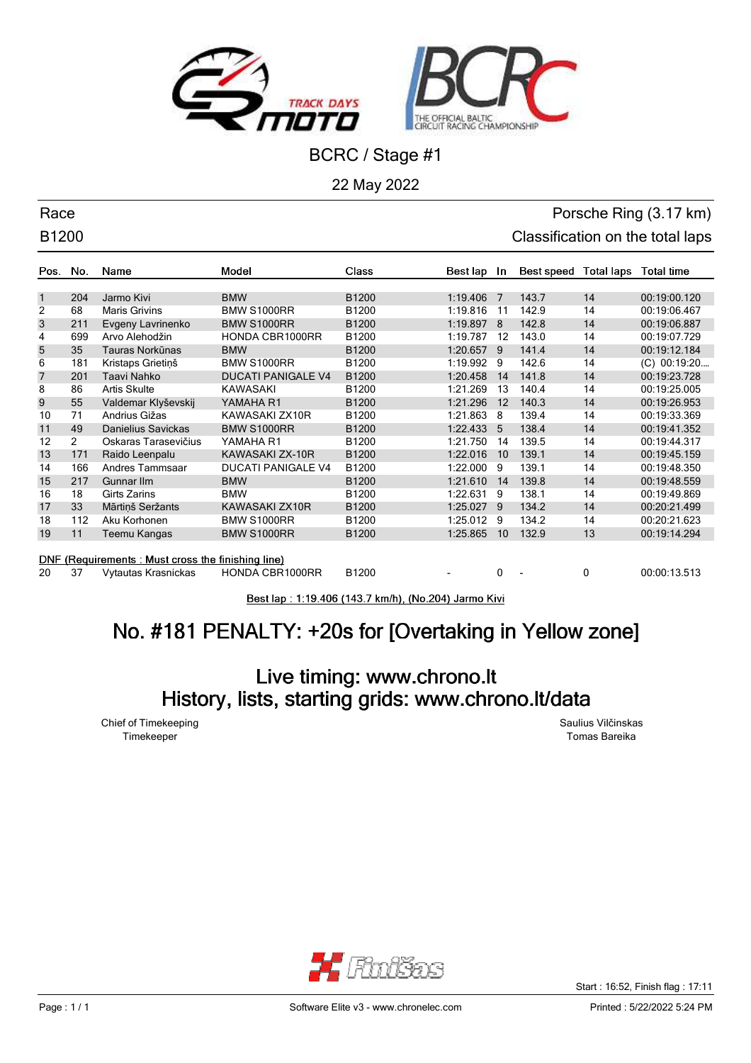



22 May 2022

### Race Porsche Ring (3.17 km) B1200 **Classification on the total laps**

| Pos.                                                        | No.            | Name                 | Model                     | <b>Class</b> | Best lap | In. | Best speed | <b>Total laps</b> | <b>Total time</b> |
|-------------------------------------------------------------|----------------|----------------------|---------------------------|--------------|----------|-----|------------|-------------------|-------------------|
|                                                             |                |                      |                           |              |          |     |            |                   |                   |
| $\mathbf{1}$                                                | 204            | Jarmo Kivi           | <b>BMW</b>                | B1200        | 1:19.406 | 7   | 143.7      | 14                | 00:19:00.120      |
| 2                                                           | 68             | <b>Maris Grivins</b> | <b>BMW S1000RR</b>        | B1200        | 1:19.816 | 11  | 142.9      | 14                | 00:19:06.467      |
| 3                                                           | 211            | Evgeny Lavrinenko    | <b>BMW S1000RR</b>        | B1200        | 1:19.897 | 8   | 142.8      | 14                | 00:19:06.887      |
| 4                                                           | 699            | Arvo Alehodžin       | <b>HONDA CBR1000RR</b>    | B1200        | 1:19.787 | 12  | 143.0      | 14                | 00:19:07.729      |
| 5                                                           | 35             | Tauras Norkūnas      | <b>BMW</b>                | B1200        | 1:20.657 | 9   | 141.4      | 14                | 00:19:12.184      |
| 6                                                           | 181            | Kristaps Grietinš    | <b>BMW S1000RR</b>        | B1200        | 1:19.992 | 9   | 142.6      | 14                | (C) 00:19:20      |
| $\overline{7}$                                              | 201            | Taavi Nahko          | <b>DUCATI PANIGALE V4</b> | B1200        | 1:20.458 | 14  | 141.8      | 14                | 00:19:23.728      |
| 8                                                           | 86             | <b>Artis Skulte</b>  | <b>KAWASAKI</b>           | B1200        | 1:21.269 | 13  | 140.4      | 14                | 00:19:25.005      |
| 9                                                           | 55             | Valdemar Klyševskij  | YAMAHA R1                 | B1200        | 1:21.296 | 12  | 140.3      | 14                | 00:19:26.953      |
| 10                                                          | 71             | Andrius Gižas        | KAWASAKI ZX10R            | B1200        | 1:21.863 | 8   | 139.4      | 14                | 00:19:33.369      |
| 11                                                          | 49             | Danielius Savickas   | <b>BMW S1000RR</b>        | B1200        | 1:22.433 | 5   | 138.4      | 14                | 00:19:41.352      |
| 12                                                          | $\overline{2}$ | Oskaras Tarasevičius | YAMAHA R1                 | B1200        | 1:21.750 | 14  | 139.5      | 14                | 00:19:44.317      |
| 13                                                          | 171            | Raido Leenpalu       | KAWASAKI ZX-10R           | B1200        | 1:22.016 | 10  | 139.1      | 14                | 00:19:45.159      |
| 14                                                          | 166            | Andres Tammsaar      | <b>DUCATI PANIGALE V4</b> | B1200        | 1:22.000 | 9   | 139.1      | 14                | 00:19:48.350      |
| 15                                                          | 217            | Gunnar IIm           | <b>BMW</b>                | B1200        | 1:21.610 | 14  | 139.8      | 14                | 00:19:48.559      |
| 16                                                          | 18             | Girts Zarins         | <b>BMW</b>                | B1200        | 1:22.631 | 9   | 138.1      | 14                | 00:19:49.869      |
| 17                                                          | 33             | Mārtiņš Seržants     | KAWASAKI ZX10R            | B1200        | 1:25.027 | 9   | 134.2      | 14                | 00:20:21.499      |
| 18                                                          | 112            | Aku Korhonen         | <b>BMW S1000RR</b>        | B1200        | 1:25.012 | 9   | 134.2      | 14                | 00:20:21.623      |
| 19                                                          | 11             | Teemu Kangas         | <b>BMW S1000RR</b>        | B1200        | 1:25.865 | 10  | 132.9      | 13                | 00:19:14.294      |
|                                                             |                |                      |                           |              |          |     |            |                   |                   |
| (Requirements: Must cross the finishing line)<br><b>DNF</b> |                |                      |                           |              |          |     |            |                   |                   |
| 20                                                          | 37             | Vytautas Krasnickas  | HONDA CBR1000RR           | B1200        | ۰        | 0   |            | 0                 | 00:00:13.513      |

Best lap: 1:19.406 (143.7 km/h), (No.204) Jarmo Kivi

# No. #181 PENALTY: +20s for [Overtaking in Yellow zone]

## Live timing: www.chrono.lt History, lists, starting grids: www.chrono.lt/data

Chief of Timekeeping Saulius Vilčinskas

Timekeeper Tomas Bareika



Start : 16:52, Finish flag : 17:11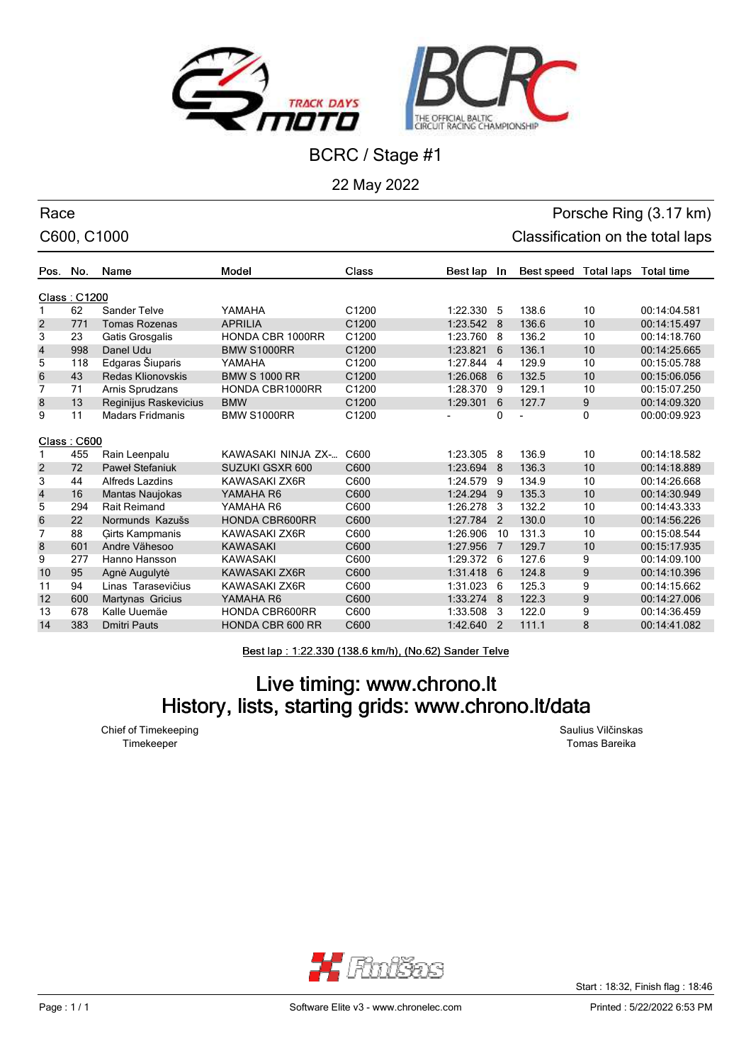



22 May 2022

### Race Porsche Ring (3.17 km) C600, C1000 C600, C1000 Classification on the total laps

| Pos. No.       |             | Name                    | Model                   | Class             | Best lap   | In.            | Best speed | <b>Total laps</b> | <b>Total time</b> |
|----------------|-------------|-------------------------|-------------------------|-------------------|------------|----------------|------------|-------------------|-------------------|
| Class: C1200   |             |                         |                         |                   |            |                |            |                   |                   |
|                | 62          | Sander Telve            | YAMAHA                  | C <sub>1200</sub> | 1:22.330   | -5             | 138.6      | 10                | 00:14:04.581      |
| 2              | 771         | <b>Tomas Rozenas</b>    | <b>APRILIA</b>          | C1200             | 1:23.542   | -8             | 136.6      | 10                | 00:14:15.497      |
| 3              | 23          | Gatis Grosgalis         | <b>HONDA CBR 1000RR</b> | C1200             | 1:23.760   | 8              | 136.2      | 10                | 00:14:18.760      |
| $\overline{4}$ | 998         | Danel Udu               | <b>BMW S1000RR</b>      | C1200             | 1:23.821   | 6              | 136.1      | 10                | 00:14:25.665      |
| 5              | 118         | Edgaras Šiuparis        | YAMAHA                  | C1200             | 1:27.844   | $\overline{4}$ | 129.9      | 10                | 00:15:05.788      |
| 6              | 43          | Redas Klionovskis       | <b>BMW S 1000 RR</b>    | C1200             | 1:26.068   | 6              | 132.5      | 10                | 00:15:06.056      |
| 7              | 71          | Arnis Sprudzans         | <b>HONDA CBR1000RR</b>  | C1200             | 1:28.370   | 9              | 129.1      | 10                | 00:15:07.250      |
| 8              | 13          | Reginijus Raskevicius   | <b>BMW</b>              | C1200             | 1:29.301   | 6              | 127.7      | 9                 | 00:14:09.320      |
| 9              | 11          | <b>Madars Fridmanis</b> | <b>BMW S1000RR</b>      | C1200             |            | 0              |            | 0                 | 00:00:09.923      |
|                |             |                         |                         |                   |            |                |            |                   |                   |
|                | Class: C600 |                         |                         |                   |            |                |            |                   |                   |
|                | 455         | Rain Leenpalu           | KAWASAKI NINJA ZX-      | C600              | 1:23.305 8 |                | 136.9      | 10                | 00:14:18.582      |
| $\overline{2}$ | 72          | <b>Paweł Stefaniuk</b>  | SUZUKI GSXR 600         | C600              | 1:23.694   | -8             | 136.3      | 10                | 00:14:18.889      |
| 3              | 44          | <b>Alfreds Lazdins</b>  | KAWASAKI ZX6R           | C600              | 1:24.579   | 9              | 134.9      | 10                | 00:14:26.668      |
| $\overline{4}$ | 16          | Mantas Naujokas         | YAMAHA R6               | C600              | 1:24.294 9 |                | 135.3      | 10                | 00:14:30.949      |
| 5              | 294         | <b>Rait Reimand</b>     | YAMAHA R6               | C600              | 1:26.278   | 3              | 132.2      | 10                | 00:14:43.333      |
| 6              | 22          | Normunds Kazušs         | <b>HONDA CBR600RR</b>   | C600              | 1:27.784   | 2              | 130.0      | 10                | 00:14:56.226      |
| 7              | 88          | <b>Girts Kampmanis</b>  | KAWASAKI ZX6R           | C600              | 1:26.906   | 10             | 131.3      | 10                | 00:15:08.544      |
| 8              | 601         | Andre Vähesoo           | <b>KAWASAKI</b>         | C600              | 1:27.956   | 7              | 129.7      | 10                | 00:15:17.935      |
| 9              | 277         | Hanno Hansson           | <b>KAWASAKI</b>         | C600              | 1:29.372 6 |                | 127.6      | 9                 | 00:14:09.100      |
| 10             | 95          | Agnė Augulytė           | KAWASAKI ZX6R           | C600              | 1:31.418   | 6              | 124.8      | 9                 | 00:14:10.396      |
| 11             | 94          | Linas Tarasevičius      | KAWASAKI ZX6R           | C600              | 1:31.023   | 6              | 125.3      | 9                 | 00:14:15.662      |
| 12             | 600         | Martynas Gricius        | YAMAHA R6               | C600              | 1:33.274   | 8              | 122.3      | 9                 | 00:14:27.006      |
| 13             | 678         | Kalle Uuemäe            | <b>HONDA CBR600RR</b>   | C600              | 1:33.508   | 3              | 122.0      | 9                 | 00:14:36.459      |
| 14             | 383         | <b>Dmitri Pauts</b>     | <b>HONDA CBR 600 RR</b> | C600              | 1:42.640   | $\overline{2}$ | 111.1      | 8                 | 00:14:41.082      |

Best lap: 1:22.330 (138.6 km/h), (No.62) Sander Telve

## Live timing: www.chrono.lt History, lists, starting grids: www.chrono.lt/data

Chief of Timekeeping **Saulius Vilčinskas** Saulius Vilčinskas Timekeeper Tomas Bareika



Start : 18:32, Finish flag : 18:46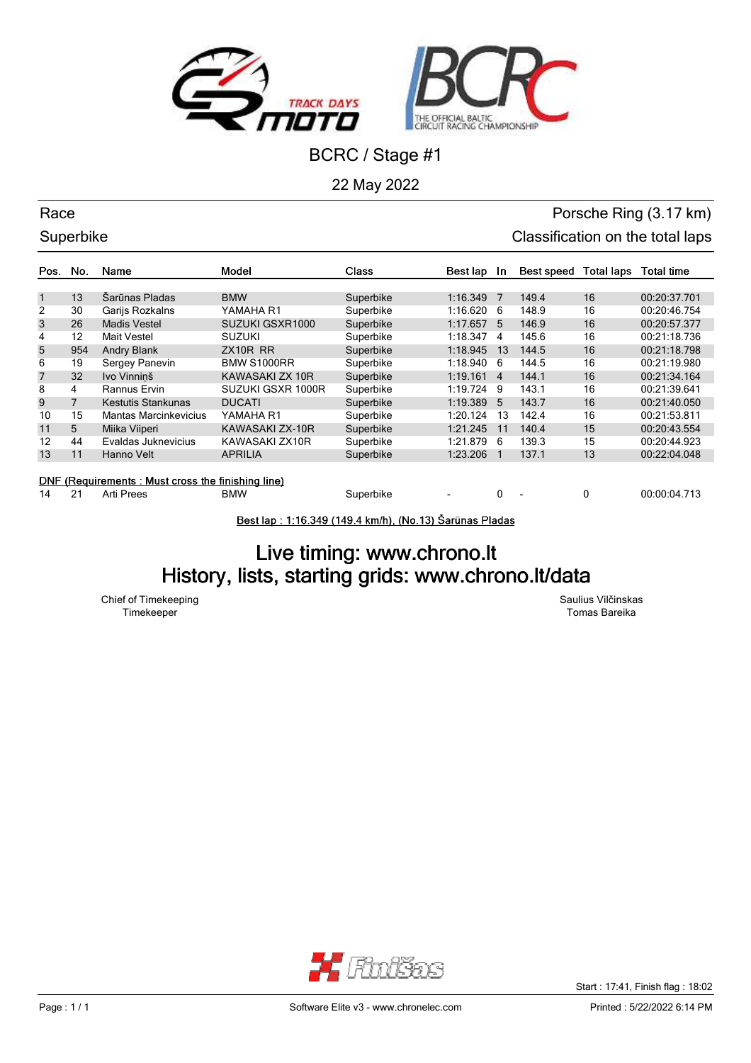



22 May 2022

## Race **Porsche Ring (3.17 km)** Superbike Classification on the total laps

| Pos.                                              | No.            | Name                         | Model              | Class     | Best lap | In.            | Best speed | Total laps | Total time   |
|---------------------------------------------------|----------------|------------------------------|--------------------|-----------|----------|----------------|------------|------------|--------------|
|                                                   |                |                              |                    |           |          |                |            |            |              |
| $\mathbf{1}$                                      | 13             | Šarūnas Pladas               | <b>BMW</b>         | Superbike | 1:16.349 | - 7            | 149.4      | 16         | 00:20:37.701 |
| $\overline{2}$                                    | 30             | Garijs Rozkalns              | YAMAHA R1          | Superbike | 1:16.620 | 6              | 148.9      | 16         | 00:20:46.754 |
| 3                                                 | 26             | Madis Vestel                 | SUZUKI GSXR1000    | Superbike | 1:17.657 | 5              | 146.9      | 16         | 00:20:57.377 |
| 4                                                 | 12             | Mait Vestel                  | <b>SUZUKI</b>      | Superbike | 1:18.347 | 4              | 145.6      | 16         | 00:21:18.736 |
| 5                                                 | 954            | <b>Andry Blank</b>           | ZX10R RR           | Superbike | 1:18.945 | 13             | 144.5      | 16         | 00:21:18.798 |
| 6                                                 | 19             | Sergey Panevin               | <b>BMW S1000RR</b> | Superbike | 1:18.940 | 6              | 144.5      | 16         | 00:21:19.980 |
| $\overline{7}$                                    | 32             | Ivo Vinninš                  | KAWASAKI ZX 10R    | Superbike | 1:19.161 | $\overline{4}$ | 144.1      | 16         | 00:21:34.164 |
| 8                                                 | 4              | Rannus Ervin                 | SUZUKI GSXR 1000R  | Superbike | 1:19.724 | 9              | 143.1      | 16         | 00:21:39.641 |
| 9                                                 | $\overline{7}$ | Kestutis Stankunas           | <b>DUCATI</b>      | Superbike | 1:19.389 | 5              | 143.7      | 16         | 00:21:40.050 |
| 10                                                | 15             | <b>Mantas Marcinkevicius</b> | YAMAHA R1          | Superbike | 1:20.124 | 13             | 142.4      | 16         | 00:21:53.811 |
| 11                                                | 5              | Miika Viiperi                | KAWASAKI ZX-10R    | Superbike | 1:21.245 | 11             | 140.4      | 15         | 00:20:43.554 |
| 12                                                | 44             | Evaldas Juknevicius          | KAWASAKI ZX10R     | Superbike | 1:21.879 | 6              | 139.3      | 15         | 00:20:44.923 |
| 13                                                | 11             | Hanno Velt                   | <b>APRILIA</b>     | Superbike | 1:23.206 |                | 137.1      | 13         | 00:22:04.048 |
|                                                   |                |                              |                    |           |          |                |            |            |              |
| DNF (Requirements: Must cross the finishing line) |                |                              |                    |           |          |                |            |            |              |

14 21 Arti Prees BMW Superbike - 0 - 0 00:00:04.713

Best lap: 1:16.349 (149.4 km/h), (No.13) Šarūnas Pladas

## Live timing: www.chrono.lt History, lists, starting grids: www.chrono.lt/data

Chief of Timekeeping Saulius Vilčinskas

Timekeeper Tomas Bareika



Start : 17:41, Finish flag : 18:02